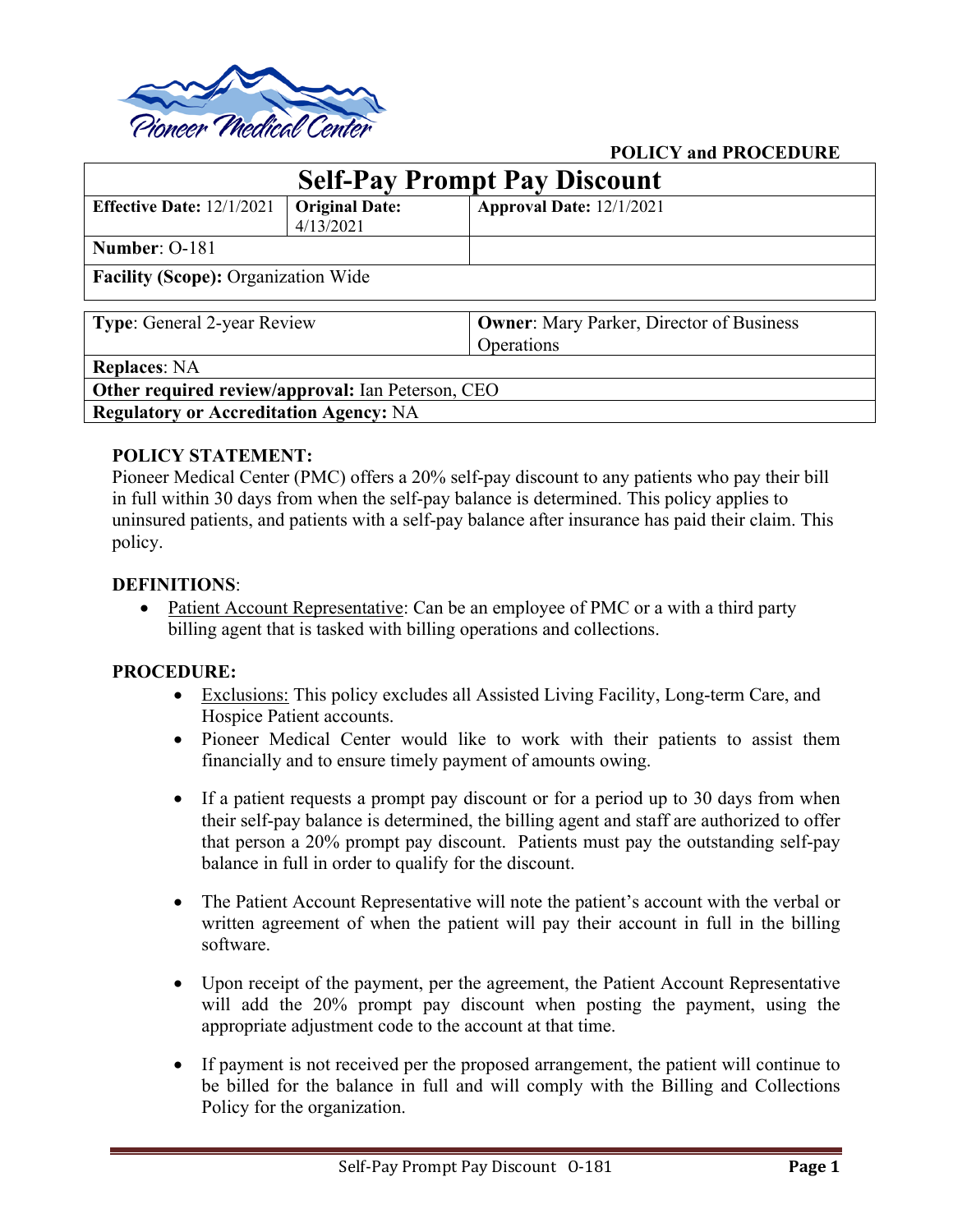

# **POLICY and PROCEDURE**

| <b>Self-Pay Prompt Pay Discount</b>               |                       |                                                 |
|---------------------------------------------------|-----------------------|-------------------------------------------------|
| <b>Effective Date:</b> $12/1/2021$                | <b>Original Date:</b> | Approval Date: 12/1/2021                        |
|                                                   | 4/13/2021             |                                                 |
| Number: 0-181                                     |                       |                                                 |
| <b>Facility (Scope): Organization Wide</b>        |                       |                                                 |
| <b>Type:</b> General 2-year Review                |                       | <b>Owner:</b> Mary Parker, Director of Business |
|                                                   |                       | Operations                                      |
| <b>Replaces: NA</b>                               |                       |                                                 |
| Other required review/approval: Ian Peterson, CEO |                       |                                                 |
| <b>Regulatory or Accreditation Agency: NA</b>     |                       |                                                 |

# **POLICY STATEMENT:**

Pioneer Medical Center (PMC) offers a 20% self-pay discount to any patients who pay their bill in full within 30 days from when the self-pay balance is determined. This policy applies to uninsured patients, and patients with a self-pay balance after insurance has paid their claim. This policy.

#### **DEFINITIONS**:

• Patient Account Representative: Can be an employee of PMC or a with a third party billing agent that is tasked with billing operations and collections.

#### **PROCEDURE:**

- Exclusions: This policy excludes all Assisted Living Facility, Long-term Care, and Hospice Patient accounts.
- Pioneer Medical Center would like to work with their patients to assist them financially and to ensure timely payment of amounts owing.
- If a patient requests a prompt pay discount or for a period up to 30 days from when their self-pay balance is determined, the billing agent and staff are authorized to offer that person a 20% prompt pay discount. Patients must pay the outstanding self-pay balance in full in order to qualify for the discount.
- The Patient Account Representative will note the patient's account with the verbal or written agreement of when the patient will pay their account in full in the billing software.
- Upon receipt of the payment, per the agreement, the Patient Account Representative will add the 20% prompt pay discount when posting the payment, using the appropriate adjustment code to the account at that time.
- If payment is not received per the proposed arrangement, the patient will continue to be billed for the balance in full and will comply with the Billing and Collections Policy for the organization.